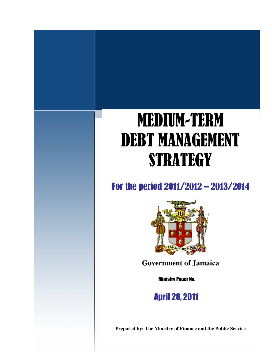# **MEDIUM-TERM** DEBT MANAGEMENT STRATEGY

For the period 2011/2012 - 2013/2014



**Government of Jamaica**

**Ministry Paper No.** 

**April 28, 2011** 

**Prepared by: The Ministry of Finance and the Public Service**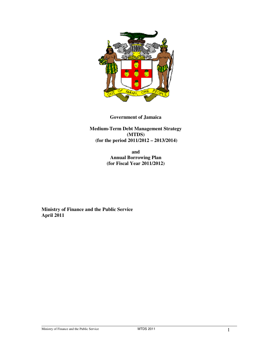

#### **Government of Jamaica**

**Medium-Term Debt Management Strategy (MTDS) (for the period 2011/2012 – 2013/2014)**

> **and Annual Borrowing Plan (for Fiscal Year 2011/2012)**

**Ministry of Finance and the Public Service April 2011**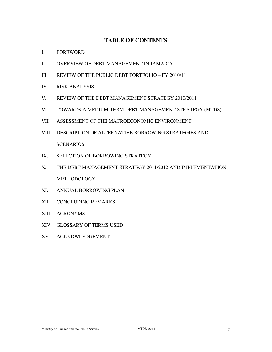#### **TABLE OF CONTENTS**

- I. FOREWORD
- II. OVERVIEW OF DEBT MANAGEMENT IN JAMAICA
- III. REVIEW OF THE PUBLIC DEBT PORTFOLIO FY 2010/11
- IV. RISK ANALYSIS
- V. REVIEW OF THE DEBT MANAGEMENT STRATEGY 2010/2011
- VI. TOWARDS A MEDIUM-TERM DEBT MANAGEMENT STRATEGY (MTDS)
- VII. ASSESSMENT OF THE MACROECONOMIC ENVIRONMENT
- VIII. DESCRIPTION OF ALTERNATIVE BORROWING STRATEGIES AND **SCENARIOS**
- IX. SELECTION OF BORROWING STRATEGY
- X. THE DEBT MANAGEMENT STRATEGY 2011/2012 AND IMPLEMENTATION METHODOLOGY
- XI. ANNUAL BORROWING PLAN
- XII. CONCLUDING REMARKS
- XIII. ACRONYMS
- XIV. GLOSSARY OF TERMS USED
- XV. ACKNOWLEDGEMENT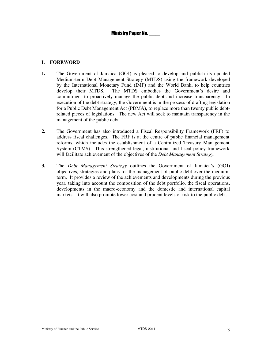#### **I. FOREWORD**

- **1.** The Government of Jamaica (GOJ) is pleased to develop and publish its updated Medium-term Debt Management Strategy (MTDS) using the framework developed by the International Monetary Fund (IMF) and the World Bank, to help countries develop their MTDS. The MTDS embodies the Government's desire and commitment to proactively manage the public debt and increase transparency. In execution of the debt strategy, the Government is in the process of drafting legislation for a Public Debt Management Act (PDMA), to replace more than twenty public debtrelated pieces of legislations. The new Act will seek to maintain transparency in the management of the public debt.
- **2.** The Government has also introduced a Fiscal Responsibility Framework (FRF) to address fiscal challenges. The FRF is at the centre of public financial management reforms, which includes the establishment of a Centralized Treasury Management System (CTMS). This strengthened legal, institutional and fiscal policy framework will facilitate achievement of the objectives of the *Debt Management Strategy*.
- **3.** The *Debt Management Strategy* outlines the Government of Jamaica's (GOJ) objectives, strategies and plans for the management of public debt over the mediumterm. It provides a review of the achievements and developments during the previous year, taking into account the composition of the debt portfolio, the fiscal operations, developments in the macro-economy and the domestic and international capital markets. It will also promote lower cost and prudent levels of risk to the public debt.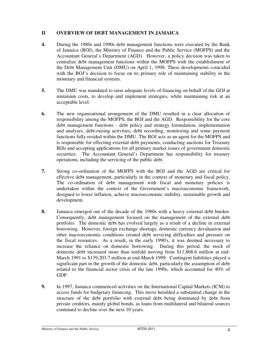#### **II OVERVIEW OF DEBT MANAGEMENT IN JAMAICA**

- **4.** During the 1980s and 1990s debt management functions were executed by the Bank of Jamaica (BOJ), the Ministry of Finance and the Public Service (MOFPS) and the Accountant General's Department (AGD). However, a policy decision was taken to centralize debt management functions within the MOFPS with the establishment of the Debt Management Unit (DMU) on April 1, 1998. These developments coincided with the BOJ's decision to focus on its primary role of maintaining stability in the monetary and financial systems.
- **5.** The DMU was mandated to raise adequate levels of financing on behalf of the GOJ at minimum costs, to develop and implement strategies, while maintaining risk at an acceptable level.
- **6.** The new organisational arrangement of the DMU resulted in a clear allocation of responsibility among the MOFPS, the BOJ and the AGD. Responsibility for the core debt management functions - debt policy and strategy formulation, implementation and analyses, debt-raising activities, debt recording, monitoring and some payment functions fully resided within the DMU. The BOJ acts as an agent for the MOFPS and is responsible for effecting external debt payments, conducting auctions for Treasury Bills and accepting applications for all primary market issues of government domestic securities. The Accountant General's Department has responsibility for treasury operations, including the servicing of the public debt.
- **7.** Strong co-ordination of the MOFPS with the BOJ and the AGD are critical for effective debt management, particularly in the context of monetary and fiscal policy. The co-ordination of debt management with fiscal and monetary policies is undertaken within the context of the Government's macroeconomic framework, designed to lower inflation, achieve macroeconomic stability, sustainable growth and development.
- **8.** Jamaica emerged out of the decade of the 1980s with a heavy external debt burden. Consequently, debt management focused on the management of the external debt portfolio. The domestic debt has evolved largely as a result of a decline in external borrowing. However, foreign exchange shortage, domestic currency devaluation and other macroeconomic conditions created debt servicing difficulties and pressure on the fiscal resources. As a result, in the early 1990's, it was deemed necessary to increase the reliance on domestic borrowing. During this period, the stock of domestic debt increased more than tenfold moving from \$11,868.6 million at end-March 1991 to \$139,203.7 million at end-March 1999. Contingent liabilities played a significant part in the growth of the domestic debt, particularly the assumption of debt related to the financial sector crisis of the late 1990s, which accounted for 40% of GDP.
- **9.** In 1997, Jamaica commenced activities on the International Capital Markets (ICM) to access funds for budgetary financing. This move heralded a substantial change in the structure of the debt portfolio with external debt being dominated by debt from private creditors, mainly global bonds, as loans from multilateral and bilateral sources continued to decline over the next 10 years.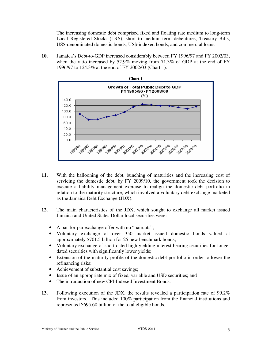The increasing domestic debt comprised fixed and floating rate medium to long-term Local Registered Stocks (LRS), short to medium-term debentures, Treasury Bills, US\$-denominated domestic bonds, US\$-indexed bonds, and commercial loans.

**10.** Jamaica's Debt-to-GDP increased considerably between FY 1996/97 and FY 2002/03, when the ratio increased by 52.9% moving from 71.3% of GDP at the end of FY 1996/97 to 124.3% at the end of FY 2002/03 (Chart 1).



- **11.** With the ballooning of the debt, bunching of maturities and the increasing cost of servicing the domestic debt, by FY 2009/10, the government took the decision to execute a liability management exercise to realign the domestic debt portfolio in relation to the maturity structure, which involved a voluntary debt exchange marketed as the Jamaica Debt Exchange (JDX).
- **12.** The main characteristics of the JDX, which sought to exchange all market issued Jamaica and United States Dollar local securities were:
	- A par-for-par exchange offer with no "haircuts";
	- Voluntary exchange of over 350 market issued domestic bonds valued at approximately \$701.5 billion for 25 new benchmark bonds;
	- Voluntary exchange of short dated high yielding interest bearing securities for longer dated securities with significantly lower yields;
	- Extension of the maturity profile of the domestic debt portfolio in order to lower the refinancing risks;
	- Achievement of substantial cost savings;
	- Issue of an appropriate mix of fixed, variable and USD securities; and
	- The introduction of new CPI-Indexed Investment Bonds.
- **13.** Following execution of the JDX, the results revealed a participation rate of 99.2% from investors. This included 100% participation from the financial institutions and represented \$695.60 billion of the total eligible bonds.

Ministry of Finance and the Public Service MTDS 2011 5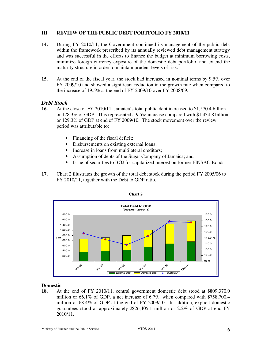#### **III REVIEW OF THE PUBLIC DEBT PORTFOLIO FY 2010/11**

- **14.** During FY 2010/11, the Government continued its management of the public debt within the framework prescribed by its annually reviewed debt management strategy and was successful in the efforts to finance the budget at minimum borrowing costs, minimize foreign currency exposure of the domestic debt portfolio, and extend the maturity structure in order to maintain prudent levels of risk.
- **15.** At the end of the fiscal year, the stock had increased in nominal terms by 9.5% over FY 2009/10 and showed a significant reduction in the growth rate when compared to the increase of 19.5% at the end of FY 2009/10 over FY 2008/09.

#### *Debt Stock*

- **16.** At the close of FY 2010/11, Jamaica's total public debt increased to \$1,570.4 billion or 128.3% of GDP. This represented a 9.5% increase compared with \$1,434.8 billion or 129.3% of GDP at end of FY 2009/10. The stock movement over the review period was attributable to:
	- Financing of the fiscal deficit;
	- Disbursements on existing external loans;
	- Increase in loans from multilateral creditors;
	- Assumption of debts of the Sugar Company of Jamaica; and
	- Issue of securities to BOJ for capitalized interest on former FINSAC Bonds.
- **17.** Chart 2 illustrates the growth of the total debt stock during the period FY 2005/06 to FY 2010/11, together with the Debt to GDP ratio.





#### **Domestic**

**18.** At the end of FY 2010/11, central government domestic debt stood at \$809,370.0 million or 66.1% of GDP, a net increase of 6.7%, when compared with \$758,700.4 million or 68.4% of GDP at the end of FY 2009/10. In addition, explicit domestic guarantees stood at approximately J\$26,405.1 million or 2.2% of GDP at end FY 2010/11.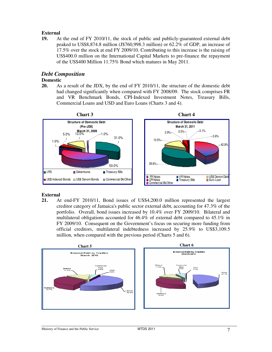#### **External**

**19.** At the end of FY 2010/11, the stock of public and publicly-guaranteed external debt peaked to US\$8,874.8 million (J\$760,998.3 million) or 62.2% of GDP, an increase of 17.5% over the stock at end FY 2009/10. Contributing to this increase is the raising of US\$400.0 million on the International Capital Markets to pre-finance the repayment of the US\$400 Million 11.75% Bond which matures in May 2011.

#### *Debt Composition*

#### **Domestic**

**20.** As a result of the JDX, by the end of FY 2010/11, the structure of the domestic debt had changed significantly when compared with FY 2008/09. The stock comprises FR and VR Benchmark Bonds, CPI-Indexed Investment Notes, Treasury Bills, Commercial Loans and USD and Euro Loans (Charts 3 and 4).



### **External**<br>21. A

**21.** At end-FY 2010/11, Bond issues of US\$4,200.0 million represented the largest creditor category of Jamaica's public sector external debt, accounting for 47.3% of the portfolio. Overall, bond issues increased by 10.4% over FY 2009/10. Bilateral and multilateral obligations accounted for 46.4% of external debt compared to 45.1% in FY 2009/10. Consequent on the Government's focus on securing more funding from official creditors, multilateral indebtedness increased by 25.9% to US\$3,109.5 million, when compared with the previous period (Charts 5 and 6).

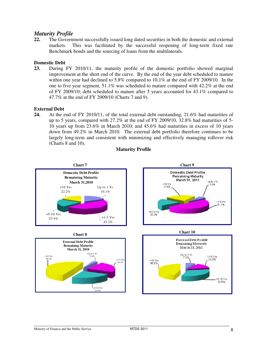#### *Maturity Profile*

**22.** The Government successfully issued long dated securities in both the domestic and external markets. This was facilitated by the successful reopening of long-term fixed rate Benchmark bonds and the sourcing of loans from the multilaterals.

### **Domestic Debt**<br>**23.** During

**23.** During FY 2010/11, the maturity profile of the domestic portfolio showed marginal improvement at the short end of the curve. By the end of the year debt scheduled to mature within one year had declined to 5.8% compared to 10.1% at the end of FY 2009/10. In the one to five year segment, 51.1% was scheduled to mature compared with 42.2% at the end of FY 2009/10; debt scheduled to mature after 5 years accounted for 43.1% compared to 47.7% at the end of FY 2009/10 (Charts 7 and 9).

#### **External Debt**

**24.** At the end of FY 2010/11, of the total external debt outstanding, 21.6% had maturities of up to 5 years, compared with 27.2% at the end of FY 2009/10, 32.8% had maturities of 5- 10 years up from 23.6% in March 2010; and 45.6% had maturities in excess of 10 years down from 49.2% in March 2010. The external debt portfolio therefore continues to be largely long-term and consistent with minimizing and effectively managing rollover risk (Charts 8 and 10).



#### **Maturity Profile**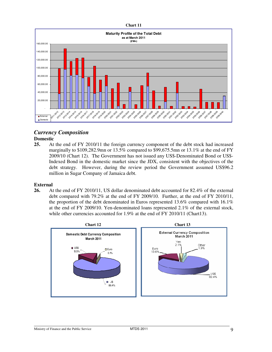

### *Currency Composition*

**Domestic**<br>25. At **25.** At the end of FY 2010/11 the foreign currency component of the debt stock had increased marginally to \$109,282.9mn or 13.5% compared to \$99,675.5mn or 13.1% at the end of FY 2009/10 (Chart 12). The Government has not issued any US\$-Denominated Bond or US\$- Indexed Bond in the domestic market since the JDX, consistent with the objectives of the debt strategy. However, during the review period the Government assumed US\$96.2 million in Sugar Company of Jamaica debt.

### **External**<br>26. A

**26.** At the end of FY 2010/11, US dollar denominated debt accounted for 82.4% of the external debt compared with 79.2% at the end of FY 2009/10. Further, at the end of FY 2010/11, the proportion of the debt denominated in Euros represented 13.6% compared with 16.1% at the end of FY 2009/10. Yen-denominated loans represented 2.1% of the external stock, while other currencies accounted for 1.9% at the end of FY 2010/11 (Chart13).

![](_page_9_Figure_5.jpeg)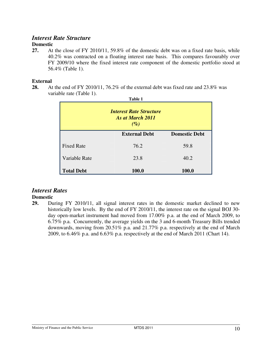#### *Interest Rate Structure*

#### **Domestic**

**27.** At the close of FY 2010/11, 59.8% of the domestic debt was on a fixed rate basis, while 40.2% was contracted on a floating interest rate basis. This compares favourably over FY 2009/10 where the fixed interest rate component of the domestic portfolio stood at 56.4% (Table 1).

#### **External**

**28.** At the end of FY 2010/11, 76.2% of the external debt was fixed rate and 23.8% was variable rate (Table 1). **Table 1**

| Table 1<br><b>Interest Rate Structure</b><br>As at March 2011<br>$(\%)$ |                      |                      |  |  |  |  |
|-------------------------------------------------------------------------|----------------------|----------------------|--|--|--|--|
|                                                                         | <b>External Debt</b> | <b>Domestic Debt</b> |  |  |  |  |
| <b>Fixed Rate</b>                                                       | 76.2                 | 59.8                 |  |  |  |  |
| Variable Rate                                                           | 23.8                 | 40.2                 |  |  |  |  |
| <b>Total Debt</b>                                                       | 100.0                | 100.0                |  |  |  |  |

#### *Interest Rates*

#### **Domestic**

**29.** During FY 2010/11, all signal interest rates in the domestic market declined to new historically low levels. By the end of FY 2010/11, the interest rate on the signal BOJ 30 day open-market instrument had moved from 17.00% p.a. at the end of March 2009, to 6.75% p.a. Concurrently, the average yields on the 3 and 6-month Treasury Bills trended downwards, moving from 20.51% p.a. and 21.77% p.a. respectively at the end of March 2009, to 6.46% p.a. and 6.63% p.a. respectively at the end of March 2011 (Chart 14).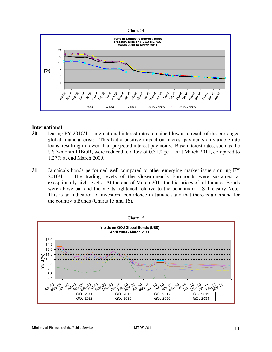![](_page_11_Figure_0.jpeg)

![](_page_11_Figure_1.jpeg)

#### **International**

- **30.** During FY 2010/11, international interest rates remained low as a result of the prolonged global financial crisis. This had a positive impact on interest payments on variable rate loans, resulting in lower-than-projected interest payments. Base interest rates, such as the US 3-month LIBOR, were reduced to a low of 0.31% p.a. as at March 2011, compared to 1.27% at end March 2009.
- **31.** Jamaica's bonds performed well compared to other emerging market issuers during FY 2010/11. The trading levels of the Government's Eurobonds were sustained at exceptionally high levels. At the end of March 2011 the bid prices of all Jamaica Bonds were above par and the yields tightened relative to the benchmark US Treasury Note. This is an indication of investors' confidence in Jamaica and that there is a demand for the country's Bonds (Charts 15 and 16).

![](_page_11_Figure_5.jpeg)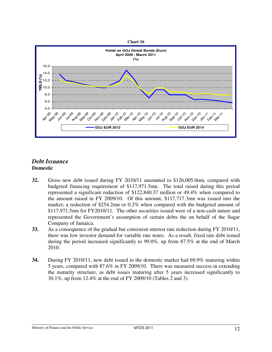![](_page_12_Figure_0.jpeg)

#### *Debt Issuance* **Domestic**

- **32.** Gross new debt issued during FY 2010/11 amounted to \$126,005.0mn, compared with budgeted financing requirement of \$117,971.5mn. The total raised during this period represented a significant reduction of \$122,840.37 million or 49.4% when compared to the amount raised in FY 2009/10. Of this amount, \$117,717.3mn was issued into the market; a reduction of \$254.2mn or 0.2% when compared with the budgeted amount of \$117,971.5mn for FY2010/11. The other securities issued were of a non-cash nature and represented the Government's assumption of certain debts the on behalf of the Sugar Company of Jamaica.
- **33.** As a consequence of the gradual but consistent interest rate reduction during FY 2010/11, there was low investor demand for variable rate notes. As a result, fixed rate debt issued during the period increased significantly to 99.0%, up from 87.5% at the end of March 2010.
- **34.** During FY 2010/11, new debt issued in the domestic market had 69.9% maturing within 5 years, compared with 87.6% in FY 2009/10. There was measured success in extending the maturity structure, as debt issues maturing after 5 years increased significantly to 30.1%, up from 12.4% at the end of FY 2009/10 (Tables 2 and 3).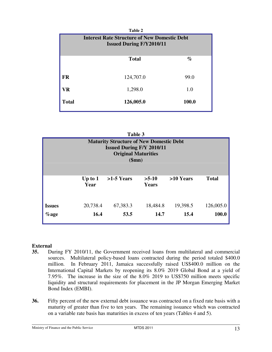|                                                                                        | Table 2              |       |  |  |  |  |  |
|----------------------------------------------------------------------------------------|----------------------|-------|--|--|--|--|--|
| <b>Interest Rate Structure of New Domestic Debt</b><br><b>Issued During F/Y2010/11</b> |                      |       |  |  |  |  |  |
|                                                                                        |                      |       |  |  |  |  |  |
|                                                                                        | <b>Total</b><br>$\%$ |       |  |  |  |  |  |
|                                                                                        |                      |       |  |  |  |  |  |
| <b>FR</b>                                                                              | 124,707.0            | 99.0  |  |  |  |  |  |
| VR                                                                                     | 1,298.0<br>1.0       |       |  |  |  |  |  |
| <b>Total</b>                                                                           | 126,005.0            | 100.0 |  |  |  |  |  |
|                                                                                        |                      |       |  |  |  |  |  |

|                                                                                                                                 | Table 3 |  |  |  |  |  |  |
|---------------------------------------------------------------------------------------------------------------------------------|---------|--|--|--|--|--|--|
| <b>Maturity Structure of New Domestic Debt</b><br><b>Issued During F/Y 2010/11</b><br><b>Original Maturities</b><br>\$mn)       |         |  |  |  |  |  |  |
| >10 Years<br>$>1-5$ Years<br>$>5-10$<br><b>Total</b><br>Up to $1$<br>Year<br>Years                                              |         |  |  |  |  |  |  |
| 20,738.4<br>18,484.8<br>19,398.5<br>126,005.0<br>67,383.3<br><b>Issues</b><br>100.0<br>16.4<br>53.5<br>14.7<br>15.4<br>$\%$ age |         |  |  |  |  |  |  |

### **External**<br>35. Du

- **35.** During FY 2010/11, the Government received loans from multilateral and commercial sources. Multilateral policy-based loans contracted during the period totaled \$400.0 million. In February 2011, Jamaica successfully raised US\$400.0 million on the International Capital Markets by reopening its 8.0% 2019 Global Bond at a yield of 7.95%. The increase in the size of the 8.0% 2019 to US\$750 million meets specific liquidity and structural requirements for placement in the JP Morgan Emerging Market Bond Index (EMBI).
- **36.** Fifty percent of the new external debt issuance was contracted on a fixed rate basis with a maturity of greater than five to ten years. The remaining issuance which was contracted on a variable rate basis has maturities in excess of ten years (Tables 4 and 5).

Ministry of Finance and the Public Service MTDS 2011 MTDS 2011 13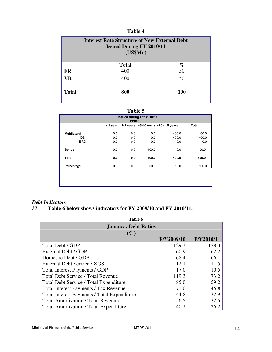| Table 4                                                                                            |              |            |  |  |
|----------------------------------------------------------------------------------------------------|--------------|------------|--|--|
| <b>Interest Rate Structure of New External Debt</b><br><b>Issued During FY 2010/11</b><br>(US\$Mn) |              |            |  |  |
|                                                                                                    | <b>Total</b> | $\%$       |  |  |
| <b>FR</b>                                                                                          | 400          | 50         |  |  |
| VR                                                                                                 | 400          | 50         |  |  |
| <b>Total</b>                                                                                       | 800          | <b>100</b> |  |  |

#### **Table 5**

| Issued during F/Y 2010/11<br>(US\$Mn) |                  |     |                                           |       |       |
|---------------------------------------|------------------|-----|-------------------------------------------|-------|-------|
|                                       | $<$ 1 year       |     | 1-5 years $>5$ -10 years $>10$ - 15 years |       | Total |
| <b>Multilateral</b>                   | $\bullet$<br>0.0 | 0.0 | 0.0                                       | 400.0 | 400.0 |
| <b>IDB</b>                            | 0.0              | 0.0 | 0.0                                       | 400.0 | 400.0 |
| <b>IBRD</b>                           | 0.0              | 0.0 | 0.0                                       | 0.0   | 0.0   |
| <b>Bonds</b>                          | 0.0              | 0.0 | 400.0                                     | 0.0   | 400.0 |
| <b>Total</b>                          | 0.0              | 0.0 | 400.0                                     | 400.0 | 800.0 |
| Percentage                            | 0.0              | 0.0 | 50.0                                      | 50.0  | 100.0 |
|                                       |                  |     |                                           |       |       |
|                                       |                  |     |                                           |       |       |
|                                       |                  |     |                                           |       |       |

## *Debt Indicators*

#### **37. Table 6 below shows indicators for FY 2009/10 and FY 2010/11.**

| Table 6                                            |                             |            |  |  |  |  |
|----------------------------------------------------|-----------------------------|------------|--|--|--|--|
|                                                    | <b>Jamaica: Debt Ratios</b> |            |  |  |  |  |
| $(\%)$                                             | F/Y2009/10                  | F/Y2010/11 |  |  |  |  |
| Total Debt / GDP                                   | 129.3                       | 128.3      |  |  |  |  |
| External Debt / GDP                                | 60.9                        | 62.2       |  |  |  |  |
| Domestic Debt / GDP                                | 68.4                        | 66.1       |  |  |  |  |
| External Debt Service / XGS                        | 12.1                        | 11.5       |  |  |  |  |
| Total Interest Payments / GDP                      | 17.0                        | 10.5       |  |  |  |  |
| <b>Total Debt Service / Total Revenue</b>          | 119.3                       | 73.2       |  |  |  |  |
| <b>Total Debt Service / Total Expenditure</b>      | 85.0                        | 59.2       |  |  |  |  |
| <b>Total Interest Payments / Tax Revenue</b>       | 71.0                        | 45.8       |  |  |  |  |
| <b>Total Interest Payments / Total Expenditure</b> | 44.8                        | 32.9       |  |  |  |  |
| <b>Total Amortization / Total Revenue</b>          | 56.5                        | 32.5       |  |  |  |  |
| <b>Total Amortization / Total Expenditure</b>      | 40.2                        | 26.2       |  |  |  |  |

Ministry of Finance and the Public Service MTDS 2011 14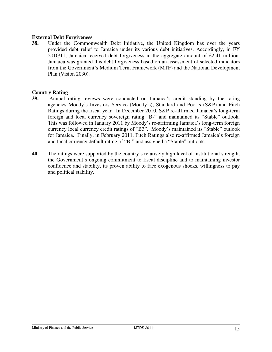#### **External Debt Forgiveness**

**38.** Under the Commonwealth Debt Initiative, the United Kingdom has over the years provided debt relief to Jamaica under its various debt initiatives. Accordingly, in FY 2010/11, Jamaica received debt forgiveness in the aggregate amount of £2.41 million. Jamaica was granted this debt forgiveness based on an assessment of selected indicators from the Government's Medium Term Framework (MTF) and the National Development Plan (Vision 2030).

#### **Country Rating**

- **39.** Annual rating reviews were conducted on Jamaica's credit standing by the rating agencies Moody's Investors Service (Moody's), Standard and Poor's (S&P) and Fitch Ratings during the fiscal year. In December 2010, S&P re-affirmed Jamaica's long-term foreign and local currency sovereign rating "B-" and maintained its "Stable" outlook. This was followed in January 2011 by Moody's re-affirming Jamaica's long-term foreign currency local currency credit ratings of "B3". Moody's maintained its "Stable" outlook for Jamaica. Finally, in February 2011, Fitch Ratings also re-affirmed Jamaica's foreign and local currency default rating of "B-" and assigned a "Stable" outlook.
- **40.** The ratings were supported by the country's relatively high level of institutional strength, the Government's ongoing commitment to fiscal discipline and to maintaining investor confidence and stability, its proven ability to face exogenous shocks, willingness to pay and political stability.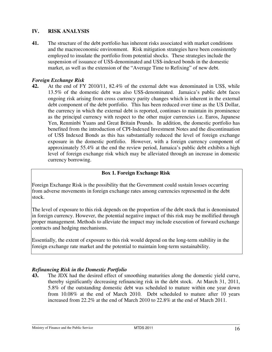#### **IV. RISK ANALYSIS**

**41.** The structure of the debt portfolio has inherent risks associated with market conditions and the macroeconomic environment. Risk mitigation strategies have been consistently employed to insulate the portfolio from potential shocks. These strategies include the suspension of issuance of US\$-denominated and US\$-indexed bonds in the domestic market, as well as the extension of the "Average Time to Refixing" of new debt.

#### *Foreign Exchange Risk*

**42.** At the end of FY 2010/11, 82.4% of the external debt was denominated in US\$, while 13.5% of the domestic debt was also US\$-denominated. Jamaica's public debt faces ongoing risk arising from cross currency parity changes which is inherent in the external debt component of the debt portfolio. This has been reduced over time as the US Dollar, the currency in which the external debt is reported, continues to maintain its prominence as the principal currency with respect to the other major currencies i.e. Euros, Japanese Yen, Renminbi Yuans and Great Britain Pounds. In addition, the domestic portfolio has benefited from the introduction of CPI-Indexed Investment Notes and the discontinuation of US\$ Indexed Bonds as this has substantially reduced the level of foreign exchange exposure in the domestic portfolio. However, with a foreign currency component of approximately 55.4% at the end the review period, Jamaica's public debt exhibits a high level of foreign exchange risk which may be alleviated through an increase in domestic currency borrowing.

#### **Box 1. Foreign Exchange Risk**

Foreign Exchange Risk is the possibility that the Government could sustain losses occurring from adverse movements in foreign exchange rates among currencies represented in the debt stock.

The level of exposure to this risk depends on the proportion of the debt stock that is denominated in foreign currency. However, the potential negative impact of this risk may be mollified through proper management. Methods to alleviate the impact may include execution of forward exchange contracts and hedging mechanisms.

Essentially, the extent of exposure to this risk would depend on the long-term stability in the foreign exchange rate market and the potential to maintain long-term sustainability.

#### *Refinancing Risk in the Domestic Portfolio*

**43.** The JDX had the desired effect of smoothing maturities along the domestic yield curve, thereby significantly decreasing refinancing risk in the debt stock. At March 31, 2011, 5.8% of the outstanding domestic debt was scheduled to mature within one year down from 10.08% at the end of March 2010. Debt scheduled to mature after 10 years increased from 22.2% at the end of March 2010 to 22.8% at the end of March 2011.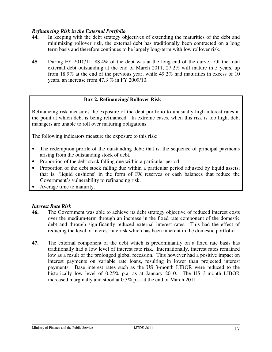#### *Refinancing Risk in the External Portfolio*

- **44.** In keeping with the debt strategy objectives of extending the maturities of the debt and minimizing rollover risk, the external debt has traditionally been contracted on a long term basis and therefore continues to be largely long-term with low rollover risk.
- **45.** During FY 2010/11, 88.4% of the debt was at the long end of the curve. Of the total external debt outstanding at the end of March 2011, 27.2% will mature in 5 years, up from 18.9% at the end of the previous year; while 49.2% had maturities in excess of 10 years, an increase from 47.3 % in FY 2009/10.

#### **Box 2. Refinancing/ Rollover Risk**

Refinancing risk measures the exposure of the debt portfolio to unusually high interest rates at the point at which debt is being refinanced. In extreme cases, when this risk is too high, debt managers are unable to roll over maturing obligations.

The following indicators measure the exposure to this risk:

- The redemption profile of the outstanding debt; that is, the sequence of principal payments arising from the outstanding stock of debt.
- Proportion of the debt stock falling due within a particular period.
- Proportion of the debt stock falling due within a particular period adjusted by liquid assets; that is, 'liquid cushions' in the form of FX reserves or cash balances that reduce the Government's vulnerability to refinancing risk.
- Average time to maturity.

#### *Interest Rate Risk*

- **46.** The Government was able to achieve its debt strategy objective of reduced interest costs over the medium-term through an increase in the fixed rate component of the domestic debt and through significantly reduced external interest rates. This had the effect of reducing the level of interest rate risk which has been inherent in the domestic portfolio.
- **47.** The external component of the debt which is predominantly on a fixed rate basis has traditionally had a low level of interest rate risk. Internationally, interest rates remained low as a result of the prolonged global recession. This however had a positive impact on interest payments on variable rate loans, resulting in lower than projected interest payments. Base interest rates such as the US 3-month LIBOR were reduced to the historically low level of 0.25% p.a. as at January 2010. The US 3-month LIBOR increased marginally and stood at 0.3% p.a. at the end of March 2011.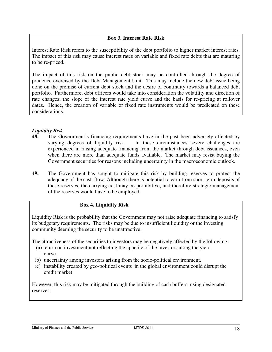#### **Box 3. Interest Rate Risk**

Interest Rate Risk refers to the susceptibility of the debt portfolio to higher market interest rates. The impact of this risk may cause interest rates on variable and fixed rate debts that are maturing to be re-priced.

The impact of this risk on the public debt stock may be controlled through the degree of prudence exercised by the Debt Management Unit. This may include the new debt issue being done on the premise of current debt stock and the desire of continuity towards a balanced debt portfolio. Furthermore, debt officers would take into consideration the volatility and direction of rate changes; the slope of the interest rate yield curve and the basis for re-pricing at rollover dates. Hence, the creation of variable or fixed rate instruments would be predicated on these considerations.

#### *Liquidity Risk*

- **48.** The Government's financing requirements have in the past been adversely affected by varying degrees of liquidity risk. In these circumstances severe challenges are experienced in raising adequate financing from the market through debt issuances, even when there are more than adequate funds available. The market may resist buying the Government securities for reasons including uncertainty in the macroeconomic outlook.
- **49.** The Government has sought to mitigate this risk by building reserves to protect the adequacy of the cash flow. Although there is potential to earn from short term deposits of these reserves, the carrying cost may be prohibitive, and therefore strategic management of the reserves would have to be employed.

#### **Box 4. Liquidity Risk**

Liquidity Risk is the probability that the Government may not raise adequate financing to satisfy its budgetary requirements. The risks may be due to insufficient liquidity or the investing community deeming the security to be unattractive.

The attractiveness of the securities to investors may be negatively affected by the following:

- (a) return on investment not reflecting the appetite of the investors along the yield curve.
- (b) uncertainty among investors arising from the socio-political environment.
- (c) instability created by geo-political events in the global environment could disrupt the credit market

However, this risk may be mitigated through the building of cash buffers, using designated reserves.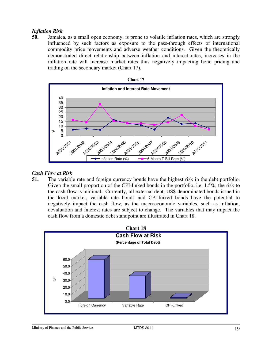#### *Inflation Risk*

**50.** Jamaica, as a small open economy, is prone to volatile inflation rates, which are strongly influenced by such factors as exposure to the pass-through effects of international commodity price movements and adverse weather conditions. Given the theoretically demonstrated direct relationship between inflation and interest rates, increases in the inflation rate will increase market rates thus negatively impacting bond pricing and trading on the secondary market (Chart 17).

![](_page_19_Figure_2.jpeg)

#### *Cash Flow at Risk*

**51.** The variable rate and foreign currency bonds have the highest risk in the debt portfolio. Given the small proportion of the CPI-linked bonds in the portfolio, i.e. 1.5%, the risk to the cash flow is minimal. Currently, all external debt, US\$-denominated bonds issued in the local market, variable rate bonds and CPI-linked bonds have the potential to negatively impact the cash flow, as the macroeconomic variables, such as inflation, devaluation and interest rates are subject to change. The variables that may impact the cash flow from a domestic debt standpoint are illustrated in Chart 18.

![](_page_19_Figure_5.jpeg)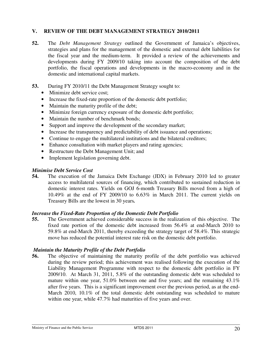#### **V. REVIEW OF THE DEBT MANAGEMENT STRATEGY 2010/2011**

- **52.** The *Debt Management Strategy* outlined the Government of Jamaica's objectives, strategies and plans for the management of the domestic and external debt liabilities for the fiscal year and the medium-term. It provided a review of the achievements and developments during FY 2009/10 taking into account the composition of the debt portfolio, the fiscal operations and developments in the macro-economy and in the domestic and international capital markets.
- **53.** During FY 2010/11 the Debt Management Strategy sought to:
	- Minimize debt service cost;
	- Increase the fixed-rate proportion of the domestic debt portfolio;
	- Maintain the maturity profile of the debt;
	- Minimize foreign currency exposure of the domestic debt portfolio;
	- Maintain the number of benchmark bonds;
	- Support and improve the development of the secondary market;
	- Increase the transparency and predictability of debt issuance and operations;
	- Continue to engage the multilateral institutions and the bilateral creditors;
	- Enhance consultation with market players and rating agencies;
	- Restructure the Debt Management Unit; and
	- Implement legislation governing debt.

#### *Minimise Debt Service Cost*

**54.** The execution of the Jamaica Debt Exchange (JDX) in February 2010 led to greater access to multilateral sources of financing, which contributed to sustained reduction in domestic interest rates. Yields on GOJ 6-month Treasury Bills moved from a high of 10.49% at the end of FY 2009/10 to 6.63% in March 2011. The current yields on Treasury Bills are the lowest in 30 years*.*

#### *Increase the Fixed-Rate Proportion of the Domestic Debt Portfolio*

**55.** The Government achieved considerable success in the realization of this objective. The fixed rate portion of the domestic debt increased from 56.4% at end-March 2010 to 59.8% at end-March 2011, thereby exceeding the strategy target of 58.4%. This strategic move has reduced the potential interest rate risk on the domestic debt portfolio.

#### *Maintain the Maturity Profile of the Debt Portfolio*

**56.** The objective of maintaining the maturity profile of the debt portfolio was achieved during the review period; this achievement was realised following the execution of the Liability Management Programme with respect to the domestic debt portfolio in FY 2009/10. At March 31, 2011, 5.8% of the outstanding domestic debt was scheduled to mature within one year, 51.0% between one and five years; and the remaining 43.1% after five years. This is a significant improvement over the previous period, as at the end-March 2010, 10.1% of the total domestic debt outstanding was scheduled to mature within one year, while 47.7% had maturities of five years and over.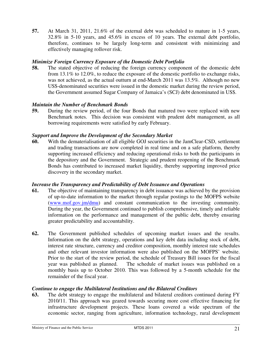**57.** At March 31, 2011, 21.6% of the external debt was scheduled to mature in 1-5 years, 32.8% in 5-10 years, and 45.6% in excess of 10 years. The external debt portfolio, therefore, continues to be largely long-term and consistent with minimizing and effectively managing rollover risk.

#### *Minimize Foreign Currency Exposure of the Domestic Debt Portfolio*

**58.** The stated objective of reducing the foreign currency component of the domestic debt from 13.1% to 12.0%, to reduce the exposure of the domestic portfolio to exchange risks, was not achieved, as the actual outturn at end-March 2011 was 13.5%. Although no new US\$-denominated securities were issued in the domestic market during the review period, the Government assumed Sugar Company of Jamaica's (SCJ) debt denominated in US\$.

#### *Maintain the Number of Benchmark Bonds*

**59.** During the review period, of the four Bonds that matured two were replaced with new Benchmark notes. This decision was consistent with prudent debt management, as all borrowing requirements were satisfied by early February.

#### *Support and Improve the Development of the Secondary Market*

**60.** With the dematerialisation of all eligible GOJ securities in the JamClear-CSD, settlement and trading transactions are now completed in real time and on a safe platform, thereby supporting increased efficiency and reducing operational risks to both the participants in the depository and the Government. Strategic and prudent reopening of the Benchmark Bonds has contributed to increased market liquidity, thereby supporting improved price discovery in the secondary market.

#### *Increase the Transparency and Predictability of Debt Issuance and Operations*

- **61.** The objective of maintaining transparency in debt issuance was achieved by the provision of up-to-date information to the market through regular postings to the MOFPS website (www.mof.gov.jm/dmu) and constant communication to the investing community. During the year, the Government continued to publish comprehensive, timely and reliable information on the performance and management of the public debt, thereby ensuring greater predictability and accountability.
- **62.** The Government published schedules of upcoming market issues and the results. Information on the debt strategy, operations and key debt data including stock of debt, interest rate structure, currency and creditor composition, monthly interest rate schedules and other relevant investor information were also published on the MOFPS' website. Prior to the start of the review period, the schedule of Treasury Bill issues for the fiscal year was published as planned. The schedule of market issues was published on a monthly basis up to October 2010. This was followed by a 5-month schedule for the remainder of the fiscal year.

#### *Continue to engage the Multilateral Institutions and the Bilateral Creditors*

**63.** The debt strategy to engage the multilateral and bilateral creditors continued during FY 2010/11. This approach was geared towards securing more cost effective financing for infrastructure development projects. These loans covered a wide spectrum of the economic sector, ranging from agriculture, information technology, rural development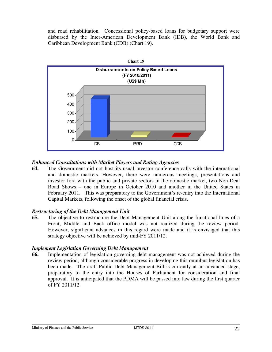and road rehabilitation. Concessional policy-based loans for budgetary support were disbursed by the Inter-American Development Bank (IDB), the World Bank and Caribbean Development Bank (CDB) (Chart 19).

![](_page_22_Figure_1.jpeg)

#### *Enhanced Consultations with Market Players and Rating Agencies*

**64.** The Government did not host its usual investor conference calls with the international and domestic markets. However, there were numerous meetings, presentations and investor fora with the public and private sectors in the domestic market, two Non-Deal Road Shows – one in Europe in October 2010 and another in the United States in February 2011. This was preparatory to the Government's re-entry into the International Capital Markets, following the onset of the global financial crisis.

#### *Restructuring of the Debt Management Unit*

**65.** The objective to restructure the Debt Management Unit along the functional lines of a Front, Middle and Back office model was not realized during the review period. However, significant advances in this regard were made and it is envisaged that this strategy objective will be achieved by mid-FY 2011/12.

#### *Implement Legislation Governing Debt Management*

**66.** Implementation of legislation governing debt management was not achieved during the review period, although considerable progress in developing this omnibus legislation has been made. The draft Public Debt Management Bill is currently at an advanced stage, preparatory to the entry into the Houses of Parliament for consideration and final approval. It is anticipated that the PDMA will be passed into law during the first quarter of FY 2011/12.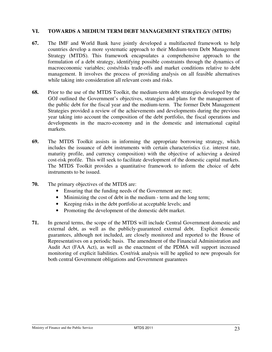#### **VI. TOWARDS A MEDIUM TERM DEBT MANAGEMENT STRATEGY (MTDS)**

- **67.** The IMF and World Bank have jointly developed a multifaceted framework to help countries develop a more systematic approach to their Medium-term Debt Management Strategy (MTDS). This framework encapsulates a comprehensive approach to the formulation of a debt strategy, identifying possible constraints through the dynamics of macroeconomic variables; costs/risks trade-offs and market conditions relative to debt management. It involves the process of providing analysis on all feasible alternatives while taking into consideration all relevant costs and risks.
- **68.** Prior to the use of the MTDS Toolkit, the medium-term debt strategies developed by the GOJ outlined the Government's objectives, strategies and plans for the management of the public debt for the fiscal year and the medium-term. The former Debt Management Strategies provided a review of the achievements and developments during the previous year taking into account the composition of the debt portfolio, the fiscal operations and developments in the macro-economy and in the domestic and international capital markets.
- **69.** The MTDS Toolkit assists in informing the appropriate borrowing strategy, which includes the issuance of debt instruments with certain characteristics (i.e. interest rate, maturity profile, and currency composition) with the objective of achieving a desired cost-risk profile. This will seek to facilitate development of the domestic capital markets. The MTDS Toolkit provides a quantitative framework to inform the choice of debt instruments to be issued.
- **70.** The primary objectives of the MTDS are:
	- Ensuring that the funding needs of the Government are met;
	- Minimizing the cost of debt in the medium term and the long term;
	- Keeping risks in the debt portfolio at acceptable levels; and
	- Promoting the development of the domestic debt market.
- **71.** In general terms, the scope of the MTDS will include Central Government domestic and external debt, as well as the publicly-guaranteed external debt. Explicit domestic guarantees, although not included, are closely monitored and reported to the House of Representatives on a periodic basis. The amendment of the Financial Administration and Audit Act (FAA Act), as well as the enactment of the PDMA will support increased monitoring of explicit liabilities. Cost/risk analysis will be applied to new proposals for both central Government obligations and Government guarantees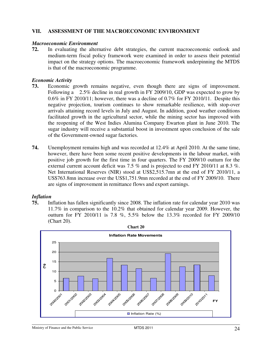#### **VII. ASSESSMENT OF THE MACROECONOMIC ENVIRONMENT**

#### *Macroeconomic Environment*

**72.** In evaluating the alternative debt strategies, the current macroeconomic outlook and medium-term fiscal policy framework were examined in order to assess their potential impact on the strategy options. The macroeconomic framework underpinning the MTDS is that of the macroeconomic programme.

#### *Economic Activity*

- **73.** Economic growth remains negative, even though there are signs of improvement. Following a 2.5% decline in real growth in FY 2009/10, GDP was expected to grow by 0.6% in FY 2010/11; however, there was a decline of 0.7% for FY 2010/11. Despite this negative projection, tourism continues to show remarkable resilience, with stop-over arrivals attaining record levels in July and August. In addition, good weather conditions facilitated growth in the agricultural sector, while the mining sector has improved with the reopening of the West Indies Alumina Company Ewarton plant in June 2010. The sugar industry will receive a substantial boost in investment upon conclusion of the sale of the Government-owned sugar factories.
- **74.** Unemployment remains high and was recorded at 12.4% at April 2010. At the same time, however, there have been some recent positive developments in the labour market, with positive job growth for the first time in four quarters. The FY 2009/10 outturn for the external current account deficit was 7.5 % and is projected to end FY 2010/11 at 8.3 %. Net International Reserves (NIR) stood at US\$2,515.7mn at the end of FY 2010/11, a US\$763.8mn increase over the US\$1,751.9mn recorded at the end of FY 2009/10. There are signs of improvement in remittance flows and export earnings.

#### *Inflation*

**75.** Inflation has fallen significantly since 2008. The inflation rate for calendar year 2010 was 11.7% in comparison to the 10.2% that obtained for calendar year 2009. However, the outturn for FY 2010/11 is 7.8 %, 5.5% below the 13.3% recorded for FY 2009/10 (Chart 20).

![](_page_24_Figure_8.jpeg)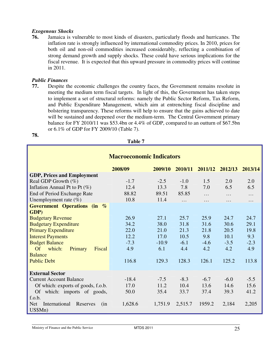#### *Exogenous Shocks*

**76.** Jamaica is vulnerable to most kinds of disasters, particularly floods and hurricanes. The inflation rate is strongly influenced by international commodity prices. In 2010, prices for both oil and non-oil commodities increased considerably, reflecting a combination of strong demand growth and supply shocks. These could have serious implications for the fiscal revenue. It is expected that this upward pressure in commodity prices will continue in 2011.

#### *Public Finances*

**78.**

**77.** Despite the economic challenges the country faces, the Government remains resolute in meeting the medium term fiscal targets. In light of this, the Government has taken steps to implement a set of structural reforms: namely the Public Sector Reform, Tax Reform, and Public Expenditure Management, which aim at entrenching fiscal discipline and bolstering transparency. These reforms will help to ensure that the gains achieved to date will be sustained and deepened over the medium-term. The Central Government primary balance for FY 2010/11 was \$53.4bn or 4.4% of GDP, compared to an outturn of \$67.5bn or 6.1% of GDP for FY 2009/10 (Table 7).

| <b>Macroeconomic Indicators</b>                |         |         |         |         |         |         |  |
|------------------------------------------------|---------|---------|---------|---------|---------|---------|--|
|                                                | 2008/09 | 2009/10 | 2010/11 | 2011/12 | 2012/13 | 2013/14 |  |
| <b>GDP, Prices and Employment</b>              |         |         |         |         |         |         |  |
| Real GDP Growth $(\%)$                         | $-1.7$  | $-2.5$  | $-1.0$  | 1.5     | 2.0     | 2.0     |  |
| Inflation Annual Pt to Pt $(\%)$               | 12.4    | 13.3    | 7.8     | 7.0     | 6.5     | 6.5     |  |
| End of Period Exchange Rate                    | 88.82   | 89.51   | 85.85   | .       | .       | .       |  |
| Unemployment rate $(\%)$                       | 10.8    | 11.4    | .       | .       | .       | .       |  |
| Government Operations (in %                    |         |         |         |         |         |         |  |
| GDP)                                           |         |         |         |         |         |         |  |
| <b>Budgetary Revenue</b>                       | 26.9    | 27.1    | 25.7    | 25.9    | 24.7    | 24.7    |  |
| <b>Budgetary Expenditure</b>                   | 34.2    | 38.0    | 31.8    | 31.6    | 30.6    | 29.1    |  |
| <b>Primary Expenditure</b>                     | 22.0    | 21.0    | 21.3    | 21.8    | 20.5    | 19.8    |  |
| <b>Interest Payments</b>                       | 12.2    | 17.0    | 10.5    | 9.8     | 10.1    | 9.3     |  |
| <b>Budget Balance</b>                          | $-7.3$  | $-10.9$ | $-6.1$  | $-4.6$  | $-3.5$  | $-2.3$  |  |
| <b>Of</b><br>which:<br>Primary<br>Fiscal       | 4.9     | 6.1     | 4.4     | 4.2     | 4.2     | 4.9     |  |
| <b>Balance</b>                                 |         |         |         |         |         |         |  |
| <b>Public Debt</b>                             | 116.8   | 129.3   | 128.3   | 126.1   | 125.2   | 113.8   |  |
|                                                |         |         |         |         |         |         |  |
| <b>External Sector</b>                         |         |         |         |         |         |         |  |
| <b>Current Account Balance</b>                 | $-18.4$ | $-7.5$  | $-8.3$  | $-6.7$  | $-6.0$  | $-5.5$  |  |
| Of which: exports of goods, f.o.b.             | 17.0    | 11.2    | 10.4    | 13.6    | 14.6    | 15.6    |  |
| Of which: imports of goods,                    | 50.0    | 35.4    | 33.7    | 37.4    | 39.3    | 41.2    |  |
| f.o.b.                                         |         |         |         |         |         |         |  |
| International<br><b>Net</b><br>Reserves<br>(in | 1,628.6 | 1,751.9 | 2,515.7 | 1959.2  | 2,184   | 2,205   |  |
| US\$Mn)                                        |         |         |         |         |         |         |  |

**Table 7**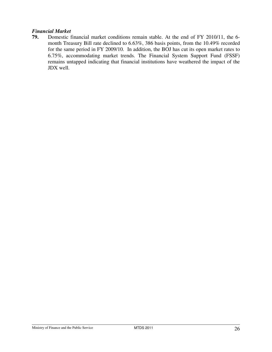#### *Financial Market*

**79.** Domestic financial market conditions remain stable. At the end of FY 2010/11, the 6 month Treasury Bill rate declined to 6.63%, 386 basis points, from the 10.49% recorded for the same period in FY 2009/10. In addition, the BOJ has cut its open market rates to 6.75%, accommodating market trends. The Financial System Support Fund (FSSF) remains untapped indicating that financial institutions have weathered the impact of the JDX well.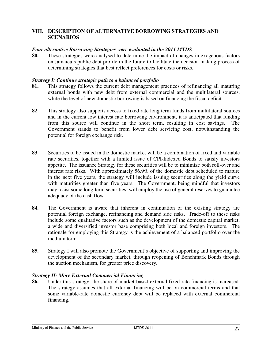#### **VIII. DESCRIPTION OF ALTERNATIVE BORROWING STRATEGIES AND SCENARIOS**

#### *Four alternative Borrowing Strategies were evaluated in the 2011 MTDS*

**80.** These strategies were analysed to determine the impact of changes in exogenous factors on Jamaica's public debt profile in the future to facilitate the decision making process of determining strategies that best reflect preferences for costs or risks.

#### *Strategy I: Continue strategic path to a balanced portfolio*

- **81.** This strategy follows the current debt management practices of refinancing all maturing external bonds with new debt from external commercial and the multilateral sources, while the level of new domestic borrowing is based on financing the fiscal deficit.
- **82.** This strategy also supports access to fixed rate long term funds from multilateral sources and in the current low interest rate borrowing environment, it is anticipated that funding from this source will continue in the short term, resulting in cost savings. The Government stands to benefit from lower debt servicing cost, notwithstanding the potential for foreign exchange risk.
- **83.** Securities to be issued in the domestic market will be a combination of fixed and variable rate securities, together with a limited issue of CPI-Indexed Bonds to satisfy investors appetite. The issuance Strategy for these securities will be to minimize both roll-over and interest rate risks. With approximately 56.9% of the domestic debt scheduled to mature in the next five years, the strategy will include issuing securities along the yield curve with maturities greater than five years. The Government, being mindful that investors may resist some long-term securities, will employ the use of general reserves to guarantee adequacy of the cash flow.
- **84.** The Government is aware that inherent in continuation of the existing strategy are potential foreign exchange, refinancing and demand side risks. Trade-off to these risks include some qualitative factors such as the development of the domestic capital market, a wide and diversified investor base comprising both local and foreign investors. The rationale for employing this Strategy is the achievement of a balanced portfolio over the medium term.
- **85.** Strategy I will also promote the Government's objective of supporting and improving the development of the secondary market, through reopening of Benchmark Bonds through the auction mechanism, for greater price discovery.

#### *Strategy II: More External Commercial Financing*

**86.** Under this strategy, the share of market-based external fixed-rate financing is increased. The strategy assumes that all external financing will be on commercial terms and that some variable-rate domestic currency debt will be replaced with external commercial financing.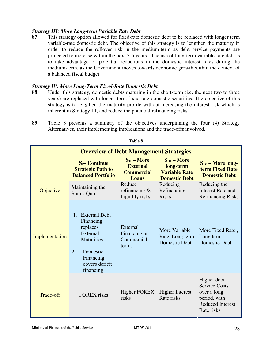#### *Strategy III: More Long-term Variable Rate Debt*

**87.** This strategy option allowed for fixed-rate domestic debt to be replaced with longer term variable-rate domestic debt. The objective of this strategy is to lengthen the maturity in order to reduce the rollover risk in the medium-term as debt service payments are projected to increase within the next 3-5 years. The use of long-term variable-rate debt is to take advantage of potential reductions in the domestic interest rates during the medium-term, as the Government moves towards economic growth within the context of a balanced fiscal budget.

#### *Strategy IV: More Long-Term Fixed-Rate Domestic Debt*

**88.** Under this strategy, domestic debts maturing in the short-term (i.e. the next two to three years) are replaced with longer-term fixed-rate domestic securities. The objective of this strategy is to lengthen the maturity profile without increasing the interest risk which is inherent in Strategy III, and reduce the potential refinancing risks.

| 1 avit 0       |                                                                                                                                                             |                                                                         |                                                                               |                                                                                                             |  |  |  |
|----------------|-------------------------------------------------------------------------------------------------------------------------------------------------------------|-------------------------------------------------------------------------|-------------------------------------------------------------------------------|-------------------------------------------------------------------------------------------------------------|--|--|--|
|                | <b>Overview of Debt Management Strategies</b>                                                                                                               |                                                                         |                                                                               |                                                                                                             |  |  |  |
|                | $S_I$ – Continue<br><b>Strategic Path to</b><br><b>Balanced Portfolio</b>                                                                                   | $S_{II}$ – More<br><b>External</b><br><b>Commercial</b><br><b>Loans</b> | $S_{III}$ – More<br>long-term<br><b>Variable Rate</b><br><b>Domestic Debt</b> | $S_{IV}$ – More long-<br>term Fixed Rate<br><b>Domestic Debt</b>                                            |  |  |  |
| Objective      | Maintaining the<br><b>Status Quo</b>                                                                                                                        | Reduce<br>refinancing $\&$<br>liquidity risks                           | Reducing<br>Refinancing<br><b>Risks</b>                                       | Reducing the<br><b>Interest Rate and</b><br><b>Refinancing Risks</b>                                        |  |  |  |
| Implementation | <b>External Debt</b><br>$1_{\cdot}$<br>Financing<br>replaces<br>External<br><b>Maturities</b><br>2.<br>Domestic<br>Financing<br>covers deficit<br>financing | External<br>Financing on<br>Commercial<br>terms                         | More Variable<br>Rate, Long term<br><b>Domestic Debt</b>                      | More Fixed Rate,<br>Long term<br><b>Domestic Debt</b>                                                       |  |  |  |
| Trade-off      | <b>FOREX</b> risks                                                                                                                                          | <b>Higher FOREX</b><br>risks                                            | <b>Higher Interest</b><br>Rate risks                                          | Higher debt<br><b>Service Costs</b><br>over a long<br>period, with<br><b>Reduced Interest</b><br>Rate risks |  |  |  |

**89.** Table 8 presents a summary of the objectives underpinning the four (4) Strategy Alternatives, their implementing implications and the trade-offs involved.

**Table 8**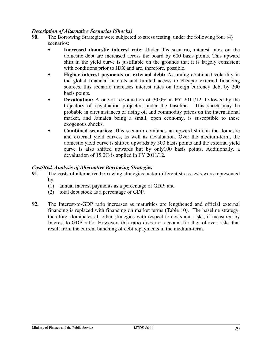#### *Description of Alternative Scenarios (Shocks)*

- **90.** The Borrowing Strategies were subjected to stress testing, under the following four (4) scenarios:
	- **Increased domestic interest rate**: Under this scenario, interest rates on the domestic debt are increased across the board by 600 basis points. This upward shift in the yield curve is justifiable on the grounds that it is largely consistent with conditions prior to JDX and are, therefore, possible.
	- **Higher interest payments on external debt:** Assuming continued volatility in the global financial markets and limited access to cheaper external financing sources, this scenario increases interest rates on foreign currency debt by 200 basis points.
	- **Devaluation:** A one-off devaluation of 30.0% in FY 2011/12, followed by the trajectory of devaluation projected under the baseline. This shock may be probable in circumstances of rising oil and commodity prices on the international market, and Jamaica being a small, open economy, is susceptible to these exogenous shocks.
	- **Combined scenarios:** This scenario combines an upward shift in the domestic and external yield curves, as well as devaluation. Over the medium-term, the domestic yield curve is shifted upwards by 300 basis points and the external yield curve is also shifted upwards but by only100 basis points. Additionally, a devaluation of 15.0% is applied in FY 2011/12.

#### *Cost/Risk Analysis of Alternative Borrowing Strategies*

- **91.** The costs of alternative borrowing strategies under different stress tests were represented by:
	- (1) annual interest payments as a percentage of GDP; and
	- (2) total debt stock as a percentage of GDP.
- **92.** The Interest-to-GDP ratio increases as maturities are lengthened and official external financing is replaced with financing on market terms (Table 10). The baseline strategy, therefore, dominates all other strategies with respect to costs and risks, if measured by Interest-to-GDP ratio. However, this ratio does not account for the rollover risks that result from the current bunching of debt repayments in the medium-term.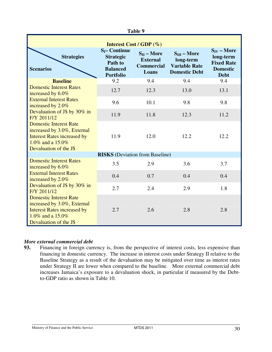| Table 9                                                                                                                                              |                                                                                        |                                                                  |                                                                               |                                                                                     |  |
|------------------------------------------------------------------------------------------------------------------------------------------------------|----------------------------------------------------------------------------------------|------------------------------------------------------------------|-------------------------------------------------------------------------------|-------------------------------------------------------------------------------------|--|
| <b>Interest Cost / GDP (%)</b>                                                                                                                       |                                                                                        |                                                                  |                                                                               |                                                                                     |  |
| <b>Strategies</b><br><b>Scenarios</b>                                                                                                                | $S_I$ – Continue<br><b>Strategic</b><br>Path to<br><b>Balanced</b><br><b>Portfolio</b> | $S_{II}$ – More<br><b>External</b><br><b>Commercial</b><br>Loans | $S_{III}$ – More<br>long-term<br><b>Variable Rate</b><br><b>Domestic Debt</b> | $S_{IV}$ – More<br>long-term<br><b>Fixed Rate</b><br><b>Domestic</b><br><b>Debt</b> |  |
| <b>Baseline</b>                                                                                                                                      | 9.2                                                                                    | 9.4                                                              | 9.4                                                                           | 9.4                                                                                 |  |
| <b>Domestic Interest Rates</b><br>increased by 6.0%                                                                                                  | 12.7                                                                                   | 12.3                                                             | 13.0                                                                          | 13.1                                                                                |  |
| <b>External Interest Rates</b><br>increased by 2.0%                                                                                                  | 9.6                                                                                    | 10.1                                                             | 9.8                                                                           | 9.8                                                                                 |  |
| Devaluation of J\$ by 30% in<br>F/Y 2011/12                                                                                                          | 11.9                                                                                   | 11.8                                                             | 12.3                                                                          | 11.2                                                                                |  |
| <b>Domestic Interest Rate</b><br>increased by 3.0%, External<br><b>Interest Rates increased by</b><br>1.0% and a 15.0%<br>Devaluation of the J\$     | 11.9                                                                                   | 12.0                                                             | 12.2                                                                          | 12.2                                                                                |  |
|                                                                                                                                                      | <b>RISKS</b> (Deviation from Baseline)                                                 |                                                                  |                                                                               |                                                                                     |  |
| <b>Domestic Interest Rates</b><br>increased by 6.0%                                                                                                  | 3.5                                                                                    | 2.9                                                              | 3.6                                                                           | 3.7                                                                                 |  |
| <b>External Interest Rates</b><br>increased by 2.0%                                                                                                  | 0.4                                                                                    | 0.7                                                              | 0.4                                                                           | 0.4                                                                                 |  |
| Devaluation of J\$ by 30% in<br>F/Y 2011/12                                                                                                          | 2.7                                                                                    | 2.4                                                              | 2.9                                                                           | 1.8                                                                                 |  |
| <b>Domestic Interest Rate</b><br>increased by 3.0%, External<br><b>Interest Rates increased by</b><br>1.0\% and a $15.0\%$<br>Devaluation of the J\$ | 2.7                                                                                    | 2.6                                                              | 2.8                                                                           | 2.8                                                                                 |  |

### *More external commercial debt*

Financing in foreign currency is, from the perspective of interest costs, less expensive than financing in domestic currency. The increase in interest costs under Strategy II relative to the Baseline Strategy as a result of the devaluation may be mitigated over time as interest rates under Strategy II are lower when compared to the baseline. More external commercial debt increases Jamaica's exposure to a devaluation shock, in particular if measured by the Debtto-GDP ratio as shown in Table 10.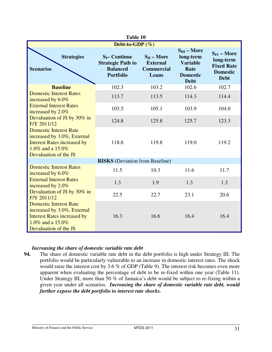| Table 10                                                                                                                                         |                                                                                     |                                                                  |                                                                                            |                                                                                     |  |
|--------------------------------------------------------------------------------------------------------------------------------------------------|-------------------------------------------------------------------------------------|------------------------------------------------------------------|--------------------------------------------------------------------------------------------|-------------------------------------------------------------------------------------|--|
|                                                                                                                                                  | Debt-to-GDP $(\%)$                                                                  |                                                                  |                                                                                            |                                                                                     |  |
| <b>Strategies</b><br><b>Scenarios</b>                                                                                                            | $S_I$ – Continue<br><b>Strategic Path to</b><br><b>Balanced</b><br><b>Portfolio</b> | $S_{II}$ – More<br><b>External</b><br><b>Commercial</b><br>Loans | $S_{III}$ – More<br>long-term<br><b>Variable</b><br>Rate<br><b>Domestic</b><br><b>Debt</b> | $S_{IV}$ – More<br>long-term<br><b>Fixed Rate</b><br><b>Domestic</b><br><b>Debt</b> |  |
| <b>Baseline</b>                                                                                                                                  | 102.3                                                                               | 103.2                                                            | 102.6                                                                                      | 102.7                                                                               |  |
| <b>Domestic Interest Rates</b><br>increased by 6.0%                                                                                              | 113.7                                                                               | 113.5                                                            | 114.3                                                                                      | 114.4                                                                               |  |
| <b>External Interest Rates</b><br>increased by 2.0%                                                                                              | 103.5                                                                               | 105.1                                                            | 103.9                                                                                      | 104.0                                                                               |  |
| Devaluation of J\$ by 30% in<br>F/Y 2011/12                                                                                                      | 124.8                                                                               | 125.8                                                            | 125.7                                                                                      | 123.3                                                                               |  |
| <b>Domestic Interest Rate</b><br>increased by 3.0%, External<br><b>Interest Rates increased by</b><br>1.0% and a 15.0%<br>Devaluation of the J\$ | 118.6                                                                               | 119.8                                                            | 119.0                                                                                      | 119.2                                                                               |  |
|                                                                                                                                                  | <b>RISKS</b> (Deviation from Baseline)                                              |                                                                  |                                                                                            |                                                                                     |  |
| <b>Domestic Interest Rates</b><br>increased by 6.0%                                                                                              | 11.5                                                                                | 10.3                                                             | 11.6                                                                                       | 11.7                                                                                |  |
| <b>External Interest Rates</b><br>increased by 2.0%                                                                                              | 1.3                                                                                 | 1.9                                                              | 1.3                                                                                        | 1.3                                                                                 |  |
| Devaluation of J\$ by 30% in<br>F/Y 2011/12                                                                                                      | 22.5                                                                                | 22.7                                                             | 23.1                                                                                       | 20.6                                                                                |  |
| <b>Domestic Interest Rate</b><br>increased by 3.0%, External<br><b>Interest Rates increased by</b><br>1.0% and a 15.0%<br>Devaluation of the J\$ | 16.3                                                                                | 16.6                                                             | 16.4                                                                                       | 16.4                                                                                |  |

#### *Increasing the share of domestic variable rate debt*

**94.** The share of domestic variable rate debt in the debt portfolio is high under Strategy III. The portfolio would be particularly vulnerable to an increase in domestic interest rates. The shock would raise the interest cost by 3.6 % of GDP (Table 9). The interest risk becomes even more apparent when evaluating the percentage of debt to be re-fixed within one year (Table 11). Under Strategy III, more than 50 % of Jamaica's debt would be subject to re-fixing within a given year under all scenarios. *Increasing the share of domestic variable rate debt, would further expose the debt portfolio to interest rate shocks.*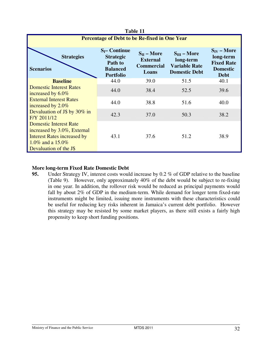| Table 11                                                                                                                                         |                                                                                        |                                                                  |                                                                               |                                                                                     |  |
|--------------------------------------------------------------------------------------------------------------------------------------------------|----------------------------------------------------------------------------------------|------------------------------------------------------------------|-------------------------------------------------------------------------------|-------------------------------------------------------------------------------------|--|
|                                                                                                                                                  | Percentage of Debt to be Re-fixed in One Year                                          |                                                                  |                                                                               |                                                                                     |  |
| <b>Strategies</b><br><b>Scenarios</b>                                                                                                            | $S_I$ – Continue<br><b>Strategic</b><br>Path to<br><b>Balanced</b><br><b>Portfolio</b> | $S_{II}$ – More<br><b>External</b><br><b>Commercial</b><br>Loans | $S_{III}$ – More<br>long-term<br><b>Variable Rate</b><br><b>Domestic Debt</b> | $S_{IV}$ – More<br>long-term<br><b>Fixed Rate</b><br><b>Domestic</b><br><b>Debt</b> |  |
| <b>Baseline</b>                                                                                                                                  | 44.0                                                                                   | 39.0                                                             | 51.5                                                                          | 40.1                                                                                |  |
| <b>Domestic Interest Rates</b><br>increased by 6.0%<br><b>External Interest Rates</b><br>increased by 2.0%                                       | 44.0                                                                                   | 38.4                                                             | 52.5                                                                          | 39.6                                                                                |  |
|                                                                                                                                                  | 44.0                                                                                   | 38.8                                                             | 51.6                                                                          | 40.0                                                                                |  |
| Devaluation of J\$ by 30% in<br>F/Y 2011/12                                                                                                      | 42.3                                                                                   | 37.0                                                             | 50.3                                                                          | 38.2                                                                                |  |
| <b>Domestic Interest Rate</b><br>increased by 3.0%, External<br><b>Interest Rates increased by</b><br>1.0% and a 15.0%<br>Devaluation of the J\$ | 43.1                                                                                   | 37.6                                                             | 51.2                                                                          | 38.9                                                                                |  |

#### **More long-term Fixed Rate Domestic Debt**

**95.** Under Strategy IV, interest costs would increase by 0.2 % of GDP relative to the baseline (Table 9). However, only approximately 40% of the debt would be subject to re-fixing in one year. In addition, the rollover risk would be reduced as principal payments would fall by about 2% of GDP in the medium-term. While demand for longer term fixed-rate instruments might be limited, issuing more instruments with these characteristics could be useful for reducing key risks inherent in Jamaica's current debt portfolio. However this strategy may be resisted by some market players, as there still exists a fairly high propensity to keep short funding positions.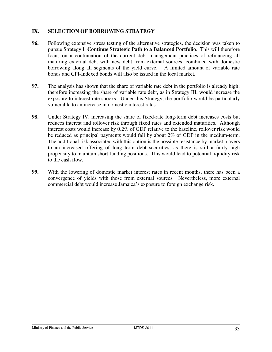#### **IX. SELECTION OF BORROWING STRATEGY**

- **96.** Following extensive stress testing of the alternative strategies, the decision was taken to pursue Strategy I: **Continue Strategic Path to a Balanced Portfolio**. This will therefore focus on a continuation of the current debt management practices of refinancing all maturing external debt with new debt from external sources, combined with domestic borrowing along all segments of the yield curve. A limited amount of variable rate bonds and CPI-Indexed bonds will also be issued in the local market.
- **97.** The analysis has shown that the share of variable rate debt in the portfolio is already high; therefore increasing the share of variable rate debt, as in Strategy III, would increase the exposure to interest rate shocks. Under this Strategy, the portfolio would be particularly vulnerable to an increase in domestic interest rates.
- **98.** Under Strategy IV, increasing the share of fixed-rate long-term debt increases costs but reduces interest and rollover risk through fixed rates and extended maturities. Although interest costs would increase by 0.2% of GDP relative to the baseline, rollover risk would be reduced as principal payments would fall by about 2% of GDP in the medium-term. The additional risk associated with this option is the possible resistance by market players to an increased offering of long term debt securities, as there is still a fairly high propensity to maintain short funding positions. This would lead to potential liquidity risk to the cash flow.
- **99.** With the lowering of domestic market interest rates in recent months, there has been a convergence of yields with those from external sources. Nevertheless, more external commercial debt would increase Jamaica's exposure to foreign exchange risk.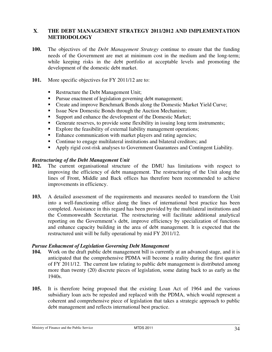#### **X**. **THE DEBT MANAGEMENT STRATEGY 2011/2012 AND IMPLEMENTATION METHODOLOGY**

- **100.** The objectives of the *Debt Management Strategy* continue to ensure that the funding needs of the Government are met at minimum cost in the medium and the long-term; while keeping risks in the debt portfolio at acceptable levels and promoting the development of the domestic debt market.
- **101.** More specific objectives for FY 2011/12 are to:
	- Restructure the Debt Management Unit;
	- **Pursue enactment of legislation governing debt management;**
	- **Create and improve Benchmark Bonds along the Domestic Market Yield Curve;**
	- Issue New Domestic Bonds through the Auction Mechanism;
	- Support and enhance the development of the Domestic Market;
	- Generate reserves, to provide some flexibility in issuing long term instruments;
	- Explore the feasibility of external liability management operations;
	- Enhance communication with market players and rating agencies;
	- Continue to engage multilateral institutions and bilateral creditors; and
	- Apply rigid cost-risk analyses to Government Guarantees and Contingent Liability.

#### *Restructuring of the Debt Management Unit*

- **102.** The current organisational structure of the DMU has limitations with respect to improving the efficiency of debt management. The restructuring of the Unit along the lines of Front, Middle and Back offices has therefore been recommended to achieve improvements in efficiency.
- **103.** A detailed assessment of the requirements and measures needed to transform the Unit into a well-functioning office along the lines of international best practice has been completed. Assistance in this regard has been provided by the multilateral institutions and the Commonwealth Secretariat. The restructuring will facilitate additional analytical reporting on the Government's debt, improve efficiency by specialization of functions and enhance capacity building in the area of debt management. It is expected that the restructured unit will be fully operational by mid FY 2011/12.

#### *Pursue Enhacment of Legislation Governing Debt Management*

- **104.** Work on the draft public debt management bill is currently at an advanced stage, and it is anticipated that the comprehensive PDMA will become a reality during the first quarter of FY 2011/12. The current law relating to public debt management is distributed among more than twenty (20) discrete pieces of legislation, some dating back to as early as the 1940s.
- **105.** It is therefore being proposed that the existing Loan Act of 1964 and the various subsidiary loan acts be repealed and replaced with the PDMA, which would represent a coherent and comprehensive piece of legislation that takes a strategic approach to public debt management and reflects international best practice.

Ministry of Finance and the Public Service MTDS 2011 34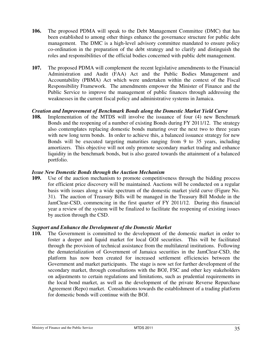- **106.** The proposed PDMA will speak to the Debt Management Committee (DMC) that has been established to among other things enhance the governance structure for public debt management. The DMC is a high-level advisory committee mandated to ensure policy co-ordination in the preparation of the debt strategy and to clarify and distinguish the roles and responsibilities of the official bodies concerned with public debt management.
- **107.** The proposed PDMA will complement the recent legislative amendments to the Financial Administration and Audit (FAA) Act and the Public Bodies Management and Accountability (PBMA) Act which were undertaken within the context of the Fiscal Responsibility Framework. The amendments empower the Minister of Finance and the Public Service to improve the management of public finances through addressing the weaknesses in the current fiscal policy and administrative systems in Jamaica.

#### *Creation and Improvement of Benchmark Bonds along the Domestic Market Yield Curve*

**108.** Implementation of the MTDS will involve the issuance of four (4) new Benchmark Bonds and the reopening of a number of existing Bonds during FY 2011/12. The strategy also contemplates replacing domestic bonds maturing over the next two to three years with new long term bonds. In order to achieve this, a balanced issuance strategy for new Bonds will be executed targeting maturities ranging from 9 to 35 years, including amortizers. This objective will not only promote secondary market trading and enhance liquidity in the benchmark bonds, but is also geared towards the attainment of a balanced portfolio.

#### *Issue New Domestic Bonds through the Auction Mechanism*

**109.** Use of the auction mechanism to promote competitiveness through the bidding process for efficient price discovery will be maintained. Auctions will be conducted on a regular basis with issues along a wide spectrum of the domestic market yield curve (Figure No. 31). The auction of Treasury Bills will be managed in the Treasury Bill Module in the JamClear-CSD, commencing in the first quarter of FY 2011/12. During this financial year a review of the system will be finalized to facilitate the reopening of existing issues by auction through the CSD.

#### *Support and Enhance the Development of the Domestic Market*

**110.** The Government is committed to the development of the domestic market in order to foster a deeper and liquid market for local GOJ securities. This will be facilitated through the provision of technical assistance from the multilateral institutions. Following the dematerialization of Government of Jamaica securities in the JamClear-CSD, the platform has now been created for increased settlement efficiencies between the Government and market participants. The stage is now set for further development of the secondary market, through consultations with the BOJ, FSC and other key stakeholders on adjustments to certain regulations and limitations, such as prudential requirements in the local bond market, as well as the development of the private Reverse Repurchase Agreement (Repo) market. Consultations towards the establishment of a trading platform for domestic bonds will continue with the BOJ.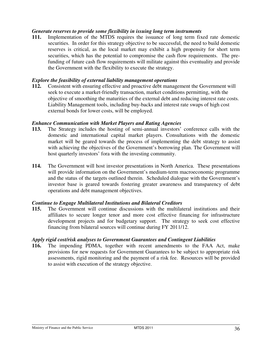#### *Generate reserves to provide some flexibility in issuing long term instruments*

**111.** Implementation of the MTDS requires the issuance of long term fixed rate domestic securities. In order for this strategy objective to be successful, the need to build domestic reserves is critical, as the local market may exhibit a high propensity for short term securities, which has the potential to compromise the cash flow requirements. The prefunding of future cash flow requirements will militate against this eventuality and provide the Government with the flexibility to execute the strategy.

#### *Explore the feasibility of external liability management operations*

**112.** Consistent with ensuring effective and proactive debt management the Government will seek to execute a market-friendly transaction, market conditions permitting, with the objective of smoothing the maturities of the external debt and reducing interest rate costs. Liability Management tools, including buy-backs and interest rate swaps of high cost external bonds for lower costs, will be employed.

#### *Enhance Communication with Market Players and Rating Agencies*

- **113.** The Strategy includes the hosting of semi-annual investors' conference calls with the domestic and international capital market players. Consultations with the domestic market will be geared towards the process of implementing the debt strategy to assist with achieving the objectives of the Government's borrowing plan. The Government will host quarterly investors' fora with the investing community.
- **114.** The Government will host investor presentations in North America. These presentations will provide information on the Government's medium-term macroeconomic programme and the status of the targets outlined therein. Scheduled dialogue with the Government's investor base is geared towards fostering greater awareness and transparency of debt operations and debt management objectives.

#### *Continue to Engage Multilateral Institutions and Bilateral Creditors*

**115.** The Government will continue discussions with the multilateral institutions and their affiliates to secure longer tenor and more cost effective financing for infrastructure development projects and for budgetary support. The strategy to seek cost effective financing from bilateral sources will continue during FY 2011/12.

#### *Apply rigid cost/risk analyses to Government Guarantees and Contingent Liabilities*

**116.** The impending PDMA, together with recent amendments to the FAA Act, make provisions for new requests for Government Guarantees to be subject to appropriate risk assessments, rigid monitoring and the payment of a risk fee. Resources will be provided to assist with execution of the strategy objective.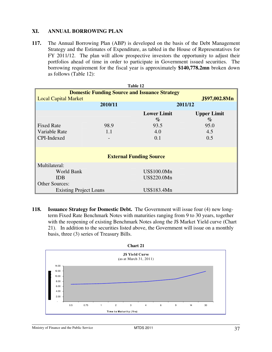#### **XI. ANNUAL BORROWING PLAN**

**117.** The Annual Borrowing Plan (ABP) is developed on the basis of the Debt Management Strategy and the Estimates of Expenditure, as tabled in the House of Representatives for FY 2011/12. The plan will allow prospective investors the opportunity to adjust their portfolios ahead of time in order to participate in Government issued securities. The borrowing requirement for the fiscal year is approximately **\$140,778.2mn** broken down as follows (Table 12):

| Table 12                                             |               |                                |                    |  |  |
|------------------------------------------------------|---------------|--------------------------------|--------------------|--|--|
| <b>Domestic Funding Source and Issuance Strategy</b> |               |                                |                    |  |  |
| <b>Local Capital Market</b>                          | J\$97,002.8Mn |                                |                    |  |  |
|                                                      | 2010/11       |                                | 2011/12            |  |  |
|                                                      |               | <b>Lower Limit</b>             | <b>Upper Limit</b> |  |  |
|                                                      |               | $\%$                           | $\%$               |  |  |
| <b>Fixed Rate</b>                                    | 98.9          | 93.5                           | 95.0               |  |  |
| Variable Rate                                        | 1.1           | 4.0                            | 4.5                |  |  |
| CPI-Indexed                                          |               | 0.1                            | 0.5                |  |  |
|                                                      |               |                                |                    |  |  |
|                                                      |               |                                |                    |  |  |
|                                                      |               | <b>External Funding Source</b> |                    |  |  |
| Multilateral:                                        |               |                                |                    |  |  |
| World Bank                                           |               | US\$100.0Mn                    |                    |  |  |
| <b>IDB</b>                                           |               | US\$220.0Mn                    |                    |  |  |
| <b>Other Sources:</b>                                |               |                                |                    |  |  |
| <b>Existing Project Loans</b>                        |               | US\$183.4Mn                    |                    |  |  |

**118. Issuance Strategy for Domestic Debt.** The Government will issue four (4) new longterm Fixed Rate Benchmark Notes with maturities ranging from 9 to 30 years, together with the reopening of existing Benchmark Notes along the J\$ Market Yield curve (Chart 21). In addition to the securities listed above, the Government will issue on a monthly basis, three (3) series of Treasury Bills.

![](_page_37_Figure_4.jpeg)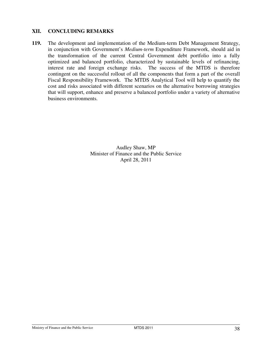#### **XII. CONCLUDING REMARKS**

**119.** The development and implementation of the Medium-term Debt Management Strategy, in conjunction with Government's *Medium-term* Expenditure Framework, should aid in the transformation of the current Central Government debt portfolio into a fully optimized and balanced portfolio, characterized by sustainable levels of refinancing, interest rate and foreign exchange risks. The success of the MTDS is therefore contingent on the successful rollout of all the components that form a part of the overall Fiscal Responsibility Framework. The MTDS Analytical Tool will help to quantify the cost and risks associated with different scenarios on the alternative borrowing strategies that will support, enhance and preserve a balanced portfolio under a variety of alternative business environments.

> Audley Shaw, MP Minister of Finance and the Public Service April 28, 2011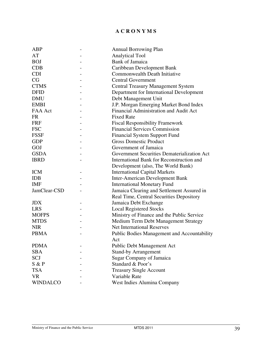#### **A C R O N Y M S**

| ABP             |                   | <b>Annual Borrowing Plan</b>                |
|-----------------|-------------------|---------------------------------------------|
| AT              |                   | <b>Analytical Tool</b>                      |
| <b>BOJ</b>      |                   | <b>Bank of Jamaica</b>                      |
| <b>CDB</b>      |                   | Caribbean Development Bank                  |
| <b>CDI</b>      |                   | Commonwealth Death Initiative               |
| CG              |                   | <b>Central Government</b>                   |
| <b>CTMS</b>     |                   | <b>Central Treasury Management System</b>   |
| <b>DFID</b>     |                   | Department for International Development    |
| <b>DMU</b>      |                   | Debt Management Unit                        |
| <b>EMBI</b>     |                   | J.P. Morgan Emerging Market Bond Index      |
| FAA Act         |                   | Financial Administration and Audit Act      |
| <b>FR</b>       |                   | <b>Fixed Rate</b>                           |
| <b>FRF</b>      |                   | <b>Fiscal Responsibility Framework</b>      |
| <b>FSC</b>      |                   | <b>Financial Services Commission</b>        |
| <b>FSSF</b>     |                   | <b>Financial System Support Fund</b>        |
| <b>GDP</b>      |                   | <b>Gross Domestic Product</b>               |
| GOJ             |                   | Government of Jamaica                       |
| <b>GSDA</b>     |                   | Government Securities Dematerialization Act |
| <b>IBRD</b>     |                   | International Bank for Reconstruction and   |
|                 |                   | Development (also, The World Bank)          |
| <b>ICM</b>      | $\qquad \qquad -$ | <b>International Capital Markets</b>        |
| <b>IDB</b>      |                   | <b>Inter-American Development Bank</b>      |
| <b>IMF</b>      |                   | <b>International Monetary Fund</b>          |
| JamClear-CSD    |                   | Jamaica Clearing and Settlement Assured in  |
|                 |                   | Real Time, Central Securities Depository    |
| <b>JDX</b>      |                   | Jamaica Debt Exchange                       |
| <b>LRS</b>      |                   | <b>Local Registered Stocks</b>              |
| <b>MOFPS</b>    |                   | Ministry of Finance and the Public Service  |
| <b>MTDS</b>     |                   | Medium Term Debt Management Strategy        |
| <b>NIR</b>      |                   | <b>Net International Reserves</b>           |
| <b>PBMA</b>     |                   | Public Bodies Management and Accountability |
|                 |                   | Act                                         |
| <b>PDMA</b>     |                   | Public Debt Management Act                  |
| <b>SBA</b>      |                   | <b>Stand-by Arrangement</b>                 |
| SCJ             |                   | <b>Sugar Company of Jamaica</b>             |
| S & P           |                   | Standard & Poor's                           |
| <b>TSA</b>      |                   | <b>Treasury Single Account</b>              |
| <b>VR</b>       |                   | Variable Rate                               |
| <b>WINDALCO</b> |                   | West Indies Alumina Company                 |
|                 |                   |                                             |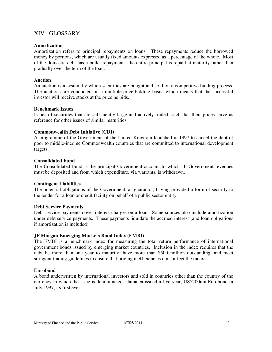#### XIV. GLOSSARY

#### **Amortization**

Amortization refers to principal repayments on loans. These repayments reduce the borrowed money by portions, which are usually fixed amounts expressed as a percentage of the whole. Most of the domestic debt has a bullet repayment - the entire principal is repaid at maturity rather than gradually over the term of the loan.

#### **Auction**

An auction is a system by which securities are bought and sold on a competitive bidding process. The auctions are conducted on a multiple-price-bidding basis, which means that the successful investor will receive stocks at the price he bids.

#### **Benchmark Issues**

Issues of securities that are sufficiently large and actively traded, such that their prices serve as reference for other issues of similar maturities.

#### **Commonwealth Debt Initiative (CDI)**

A programme of the Government of the United Kingdom launched in 1997 to cancel the debt of poor to middle-income Commonwealth countries that are committed to international development targets.

#### **Consolidated Fund**

The Consolidated Fund is the principal Government account to which all Government revenues must be deposited and from which expenditure, via warrants, is withdrawn.

#### **Contingent Liabilities**

The potential obligations of the Government, as guarantor, having provided a form of security to the lender for a loan or credit facility on behalf of a public sector entity.

#### **Debt Service Payments**

Debt service payments cover interest charges on a loan. Some sources also include amortization under debt service payments. These payments liquidate the accrued interest (and loan obligations if amortization is included).

#### **JP Morgan Emerging Markets Bond Index (EMBI)**

The EMBI is a benchmark index for measuring the total return performance of international government bonds issued by emerging market countries. Inclusion in the index requires that the debt be more than one year to maturity, have more than \$500 million outstanding, and meet stringent trading guidelines to ensure that pricing inefficiencies don't affect the index.

#### **Eurobond**

A bond underwritten by international investors and sold in countries other than the country of the currency in which the issue is denominated. Jamaica issued a five-year, US\$200mn Eurobond in July 1997, its first ever.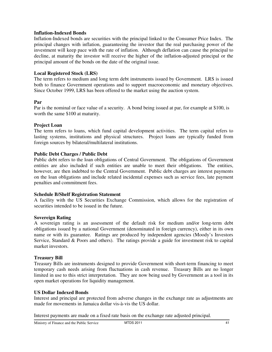#### **Inflation-Indexed Bonds**

Inflation-Indexed bonds are securities with the principal linked to the Consumer Price Index. The principal changes with inflation, guaranteeing the investor that the real purchasing power of the investment will keep pace with the rate of inflation. Although deflation can cause the principal to decline, at maturity the investor will receive the higher of the inflation-adjusted principal or the principal amount of the bonds on the date of the original issue.

#### **Local Registered Stock (LRS)**

The term refers to medium and long term debt instruments issued by Government. LRS is issued both to finance Government operations and to support macroeconomic and monetary objectives. Since October 1999, LRS has been offered to the market using the auction system.

#### **Par**

Par is the nominal or face value of a security. A bond being issued at par, for example at \$100, is worth the same \$100 at maturity.

#### **Project Loan**

The term refers to loans, which fund capital development activities. The term capital refers to lasting systems, institutions and physical structures. Project loans are typically funded from foreign sources by bilateral/multilateral institutions.

#### **Public Debt Charges / Public Debt**

Public debt refers to the loan obligations of Central Government. The obligations of Government entities are also included if such entities are unable to meet their obligations. The entities, however, are then indebted to the Central Government. Public debt charges are interest payments on the loan obligations and include related incidental expenses such as service fees, late payment penalties and commitment fees.

#### **Schedule B/Shelf Registration Statement**

A facility with the US Securities Exchange Commission, which allows for the registration of securities intended to be issued in the future.

#### **Sovereign Rating**

A sovereign rating is an assessment of the default risk for medium and/or long-term debt obligations issued by a national Government (denominated in foreign currency), either in its own name or with its guarantee. Ratings are produced by independent agencies (Moody's Investors Service, Standard & Poors and others). The ratings provide a guide for investment risk to capital market investors.

#### **Treasury Bill**

Treasury Bills are instruments designed to provide Government with short-term financing to meet temporary cash needs arising from fluctuations in cash revenue. Treasury Bills are no longer limited in use to this strict interpretation. They are now being used by Government as a tool in its open market operations for liquidity management.

#### **US Dollar Indexed Bonds**

Interest and principal are protected from adverse changes in the exchange rate as adjustments are made for movements in Jamaica dollar vis-à-vis the US dollar.

Interest payments are made on a fixed rate basis on the exchange rate adjusted principal.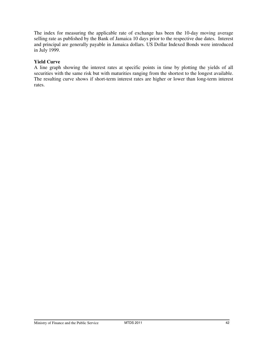The index for measuring the applicable rate of exchange has been the 10-day moving average selling rate as published by the Bank of Jamaica 10 days prior to the respective due dates. Interest and principal are generally payable in Jamaica dollars. US Dollar Indexed Bonds were introduced in July 1999.

#### **Yield Curve**

A line graph showing the interest rates at specific points in time by plotting the yields of all securities with the same risk but with maturities ranging from the shortest to the longest available. The resulting curve shows if short-term interest rates are higher or lower than long-term interest rates.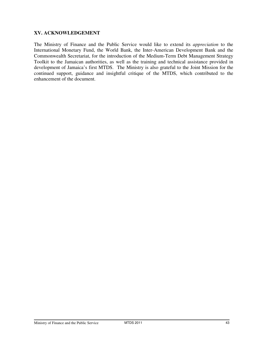#### **XV. ACKNOWLEDGEMENT**

The Ministry of Finance and the Public Service would like to extend its *appreciation* to the International Monetary Fund, the World Bank, the Inter-American Development Bank and the Commonwealth Secretariat, for the introduction of the Medium-Term Debt Management Strategy Toolkit to the Jamaican authorities, as well as the training and technical assistance provided in development of Jamaica's first MTDS. The Ministry is also grateful to the Joint Mission for the continued support, guidance and insightful critique of the MTDS, which contributed to the enhancement of the document.